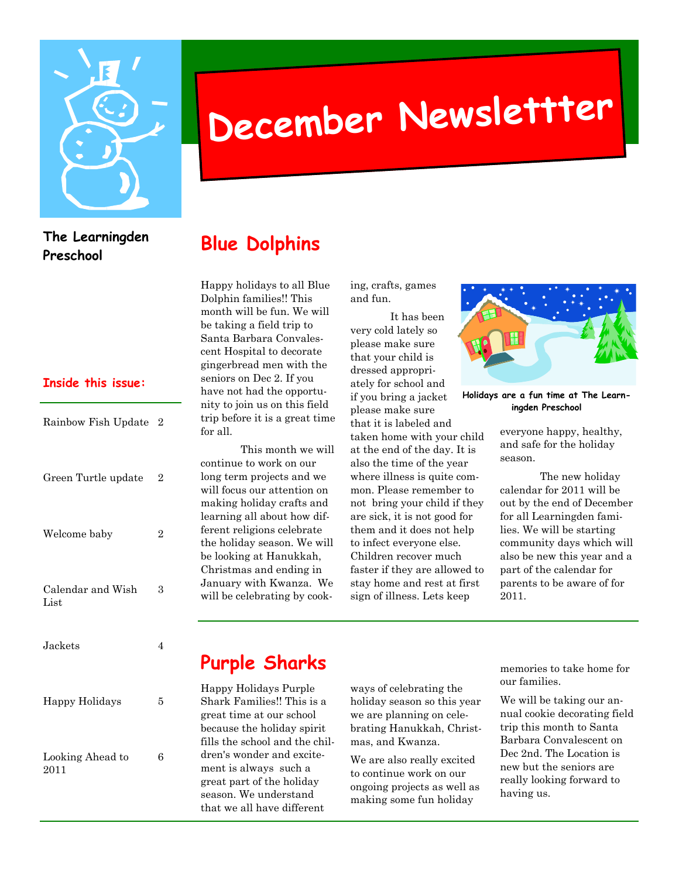

# **December Newslettter**

#### **The Learningden Preschool**

#### **Inside this issue:**

| Rainbow Fish Update 2     |                |
|---------------------------|----------------|
| Green Turtle update       | $\overline{2}$ |
| Welcome baby              | $\overline{2}$ |
| Calendar and Wish<br>List | 3              |
| Jackets                   | 4              |
| Happy Holidays            | 5              |
| Looking Ahead to          | 6              |

2011

#### **Blue Dolphins**

Happy holidays to all Blue Dolphin families!! This month will be fun. We will be taking a field trip to Santa Barbara Convalescent Hospital to decorate gingerbread men with the seniors on Dec 2. If you have not had the opportunity to join us on this field trip before it is a great time for all.

 This month we will continue to work on our long term projects and we will focus our attention on making holiday crafts and learning all about how different religions celebrate the holiday season. We will be looking at Hanukkah, Christmas and ending in January with Kwanza. We will be celebrating by cooking, crafts, games and fun.

 It has been very cold lately so please make sure that your child is dressed appropriately for school and if you bring a jacket please make sure that it is labeled and taken home with your child at the end of the day. It is also the time of the year where illness is quite common. Please remember to not bring your child if they are sick, it is not good for them and it does not help to infect everyone else. Children recover much faster if they are allowed to stay home and rest at first sign of illness. Lets keep



**Holidays are a fun time at The Learningden Preschool** 

everyone happy, healthy, and safe for the holiday season.

 The new holiday calendar for 2011 will be out by the end of December for all Learningden families. We will be starting community days which will also be new this year and a part of the calendar for parents to be aware of for 2011.

## **Purple Sharks**

Happy Holidays Purple Shark Families!! This is a great time at our school because the holiday spirit fills the school and the children's wonder and excitement is always such a great part of the holiday season. We understand that we all have different

ways of celebrating the holiday season so this year we are planning on celebrating Hanukkah, Christmas, and Kwanza.

We are also really excited to continue work on our ongoing projects as well as making some fun holiday

memories to take home for our families.

We will be taking our annual cookie decorating field trip this month to Santa Barbara Convalescent on Dec 2nd. The Location is new but the seniors are really looking forward to having us.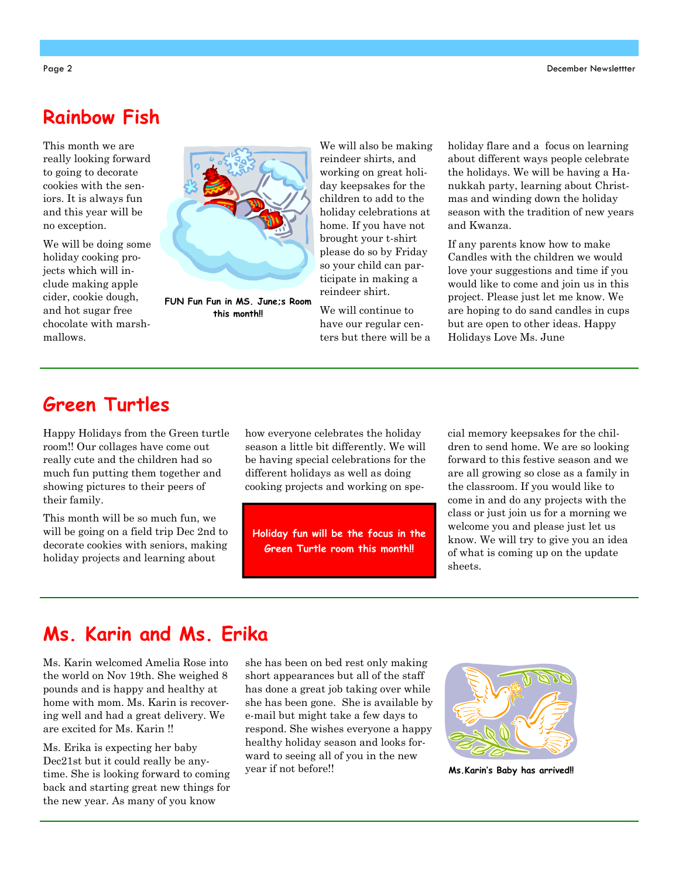#### **Rainbow Fish**

This month we are really looking forward to going to decorate cookies with the seniors. It is always fun and this year will be no exception.

We will be doing some holiday cooking projects which will include making apple cider, cookie dough, and hot sugar free chocolate with marshmallows.



**FUN Fun Fun in MS. June;s Room this month!!** 

We will also be making reindeer shirts, and working on great holiday keepsakes for the children to add to the holiday celebrations at home. If you have not brought your t-shirt please do so by Friday so your child can participate in making a reindeer shirt.

We will continue to have our regular centers but there will be a holiday flare and a focus on learning about different ways people celebrate the holidays. We will be having a Hanukkah party, learning about Christmas and winding down the holiday season with the tradition of new years and Kwanza.

If any parents know how to make Candles with the children we would love your suggestions and time if you would like to come and join us in this project. Please just let me know. We are hoping to do sand candles in cups but are open to other ideas. Happy Holidays Love Ms. June

#### **Green Turtles**

Happy Holidays from the Green turtle room!! Our collages have come out really cute and the children had so much fun putting them together and showing pictures to their peers of their family.

This month will be so much fun, we will be going on a field trip Dec 2nd to decorate cookies with seniors, making holiday projects and learning about

how everyone celebrates the holiday season a little bit differently. We will be having special celebrations for the different holidays as well as doing cooking projects and working on spe-

**Holiday fun will be the focus in the Green Turtle room this month!!** 

cial memory keepsakes for the children to send home. We are so looking forward to this festive season and we are all growing so close as a family in the classroom. If you would like to come in and do any projects with the class or just join us for a morning we welcome you and please just let us know. We will try to give you an idea of what is coming up on the update sheets.

#### **Ms. Karin and Ms. Erika**

Ms. Karin welcomed Amelia Rose into the world on Nov 19th. She weighed 8 pounds and is happy and healthy at home with mom. Ms. Karin is recovering well and had a great delivery. We are excited for Ms. Karin !!

Ms. Erika is expecting her baby Dec21st but it could really be anytime. She is looking forward to coming back and starting great new things for the new year. As many of you know

she has been on bed rest only making short appearances but all of the staff has done a great job taking over while she has been gone. She is available by e-mail but might take a few days to respond. She wishes everyone a happy healthy holiday season and looks forward to seeing all of you in the new year if not before!!



**Ms.Karin's Baby has arrived!!**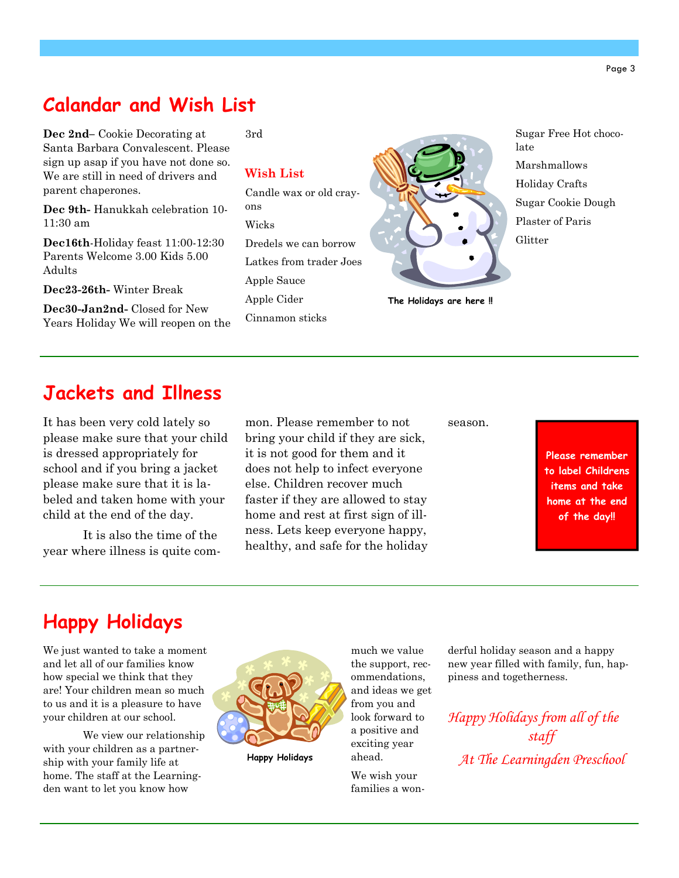#### **Calandar and Wish List**

3rd

ons Wicks

Apple Cider

Cinnamon sticks

**Dec 2nd–** Cookie Decorating at Santa Barbara Convalescent. Please sign up asap if you have not done so. We are still in need of drivers and parent chaperones.

**Dec 9th-** Hanukkah celebration 10- 11:30 am

**Dec16th**-Holiday feast 11:00-12:30 Parents Welcome 3.00 Kids 5.00 Adults

**Dec23-26th-** Winter Break

**Dec30-Jan2nd-** Closed for New Years Holiday We will reopen on the **Wish List**  Candle wax or old cray-Dredels we can borrow Latkes from trader Joes Apple Sauce

**The Holidays are here !!** 

Sugar Free Hot chocolate Marshmallows Holiday Crafts Sugar Cookie Dough Plaster of Paris Glitter

#### **Jackets and Illness**

please make sure that your child is dressed appropriately for school and if you bring a jacket please make sure that it is labeled and taken home with your child at the end of the day.

 It is also the time of the year where illness is quite com-

mon. Please remember to not bring your child if they are sick, it is not good for them and it does not help to infect everyone else. Children recover much faster if they are allowed to stay home and rest at first sign of illness. Lets keep everyone happy, healthy, and safe for the holiday It has been very cold lately so mon. Please remember to not season.

**Please remember to label Childrens items and take home at the end of the day!!** 

## **Happy Holidays**

We just wanted to take a moment and let all of our families know how special we think that they are! Your children mean so much to us and it is a pleasure to have your children at our school.

 We view our relationship with your children as a partnership with your family life at home. The staff at the Learningden want to let you know how



**Happy Holidays** 

much we value the support, recommendations, and ideas we get from you and look forward to a positive and exciting year ahead.

We wish your families a wonderful holiday season and a happy new year filled with family, fun, happiness and togetherness.

*Happy Holidays from all of the staff At The Learningden Preschool*